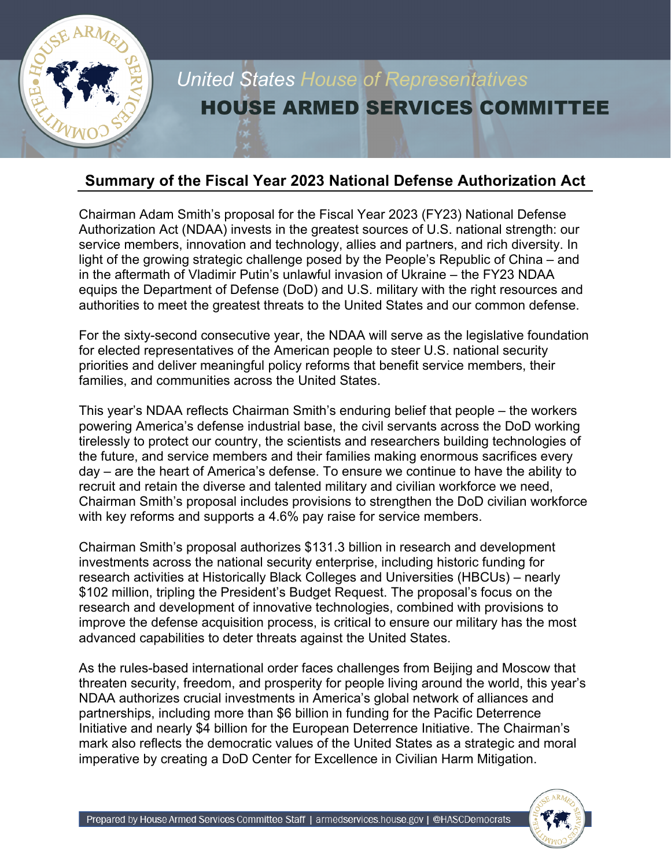

## **Summary of the Fiscal Year 2023 National Defense Authorization Act**

Chairman Adam Smith's proposal for the Fiscal Year 2023 (FY23) National Defense Authorization Act (NDAA) invests in the greatest sources of U.S. national strength: our service members, innovation and technology, allies and partners, and rich diversity. In light of the growing strategic challenge posed by the People's Republic of China – and in the aftermath of Vladimir Putin's unlawful invasion of Ukraine – the FY23 NDAA equips the Department of Defense (DoD) and U.S. military with the right resources and authorities to meet the greatest threats to the United States and our common defense.

For the sixty-second consecutive year, the NDAA will serve as the legislative foundation for elected representatives of the American people to steer U.S. national security priorities and deliver meaningful policy reforms that benefit service members, their families, and communities across the United States.

This year's NDAA reflects Chairman Smith's enduring belief that people – the workers powering America's defense industrial base, the civil servants across the DoD working tirelessly to protect our country, the scientists and researchers building technologies of the future, and service members and their families making enormous sacrifices every day – are the heart of America's defense. To ensure we continue to have the ability to recruit and retain the diverse and talented military and civilian workforce we need, Chairman Smith's proposal includes provisions to strengthen the DoD civilian workforce with key reforms and supports a 4.6% pay raise for service members.

Chairman Smith's proposal authorizes \$131.3 billion in research and development investments across the national security enterprise, including historic funding for research activities at Historically Black Colleges and Universities (HBCUs) – nearly \$102 million, tripling the President's Budget Request. The proposal's focus on the research and development of innovative technologies, combined with provisions to improve the defense acquisition process, is critical to ensure our military has the most advanced capabilities to deter threats against the United States.

As the rules-based international order faces challenges from Beijing and Moscow that threaten security, freedom, and prosperity for people living around the world, this year's NDAA authorizes crucial investments in America's global network of alliances and partnerships, including more than \$6 billion in funding for the Pacific Deterrence Initiative and nearly \$4 billion for the European Deterrence Initiative. The Chairman's mark also reflects the democratic values of the United States as a strategic and moral imperative by creating a DoD Center for Excellence in Civilian Harm Mitigation.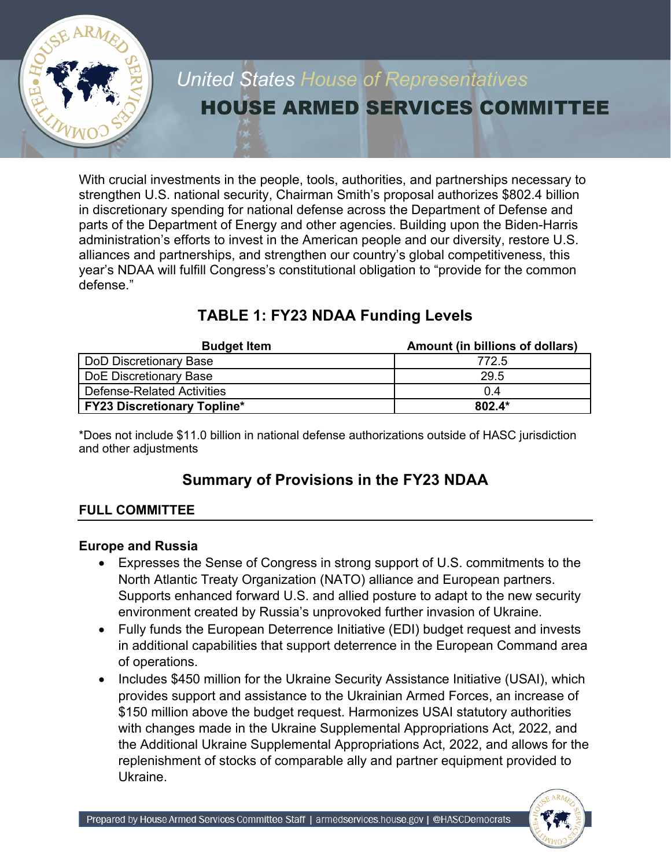

With crucial investments in the people, tools, authorities, and partnerships necessary to strengthen U.S. national security, Chairman Smith's proposal authorizes \$802.4 billion in discretionary spending for national defense across the Department of Defense and parts of the Department of Energy and other agencies. Building upon the Biden-Harris administration's efforts to invest in the American people and our diversity, restore U.S. alliances and partnerships, and strengthen our country's global competitiveness, this year's NDAA will fulfill Congress's constitutional obligation to "provide for the common defense."

| <b>Budget Item</b>                 | Amount (in billions of dollars) |
|------------------------------------|---------------------------------|
| DoD Discretionary Base             | 772.5                           |
| DoE Discretionary Base             | 29.5                            |
| Defense-Related Activities         | 0.4                             |
| <b>FY23 Discretionary Topline*</b> | $802.4*$                        |

\*Does not include \$11.0 billion in national defense authorizations outside of HASC jurisdiction and other adjustments

## **Summary of Provisions in the FY23 NDAA**

## **FULL COMMITTEE**

#### **Europe and Russia**

- Expresses the Sense of Congress in strong support of U.S. commitments to the North Atlantic Treaty Organization (NATO) alliance and European partners. Supports enhanced forward U.S. and allied posture to adapt to the new security environment created by Russia's unprovoked further invasion of Ukraine.
- Fully funds the European Deterrence Initiative (EDI) budget request and invests in additional capabilities that support deterrence in the European Command area of operations.
- Includes \$450 million for the Ukraine Security Assistance Initiative (USAI), which provides support and assistance to the Ukrainian Armed Forces, an increase of \$150 million above the budget request. Harmonizes USAI statutory authorities with changes made in the Ukraine Supplemental Appropriations Act, 2022, and the Additional Ukraine Supplemental Appropriations Act, 2022, and allows for the replenishment of stocks of comparable ally and partner equipment provided to Ukraine.

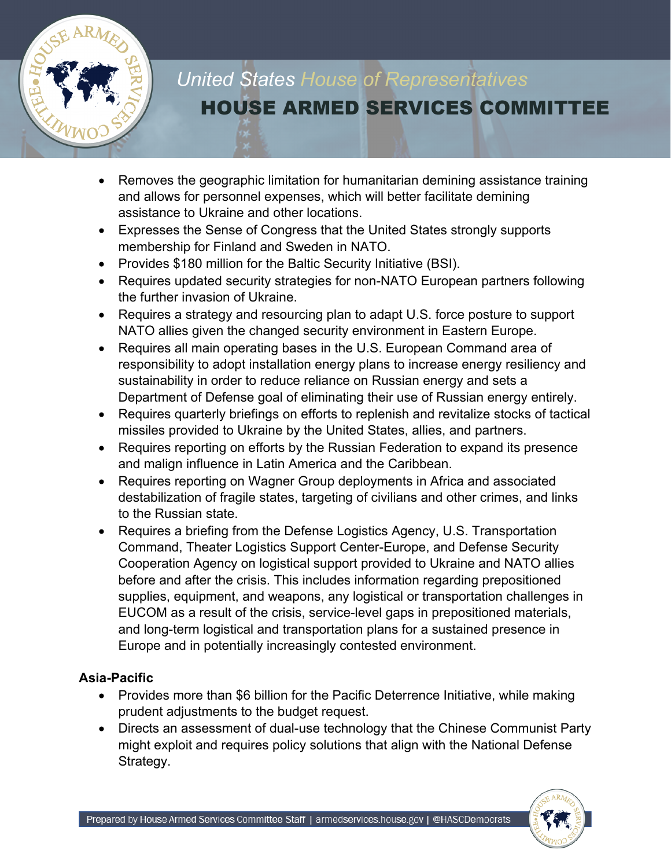

- Removes the geographic limitation for humanitarian demining assistance training and allows for personnel expenses, which will better facilitate demining assistance to Ukraine and other locations.
- Expresses the Sense of Congress that the United States strongly supports membership for Finland and Sweden in NATO.
- Provides \$180 million for the Baltic Security Initiative (BSI).
- Requires updated security strategies for non-NATO European partners following the further invasion of Ukraine.
- Requires a strategy and resourcing plan to adapt U.S. force posture to support NATO allies given the changed security environment in Eastern Europe.
- Requires all main operating bases in the U.S. European Command area of responsibility to adopt installation energy plans to increase energy resiliency and sustainability in order to reduce reliance on Russian energy and sets a Department of Defense goal of eliminating their use of Russian energy entirely.
- Requires quarterly briefings on efforts to replenish and revitalize stocks of tactical missiles provided to Ukraine by the United States, allies, and partners.
- Requires reporting on efforts by the Russian Federation to expand its presence and malign influence in Latin America and the Caribbean.
- Requires reporting on Wagner Group deployments in Africa and associated destabilization of fragile states, targeting of civilians and other crimes, and links to the Russian state.
- Requires a briefing from the Defense Logistics Agency, U.S. Transportation Command, Theater Logistics Support Center-Europe, and Defense Security Cooperation Agency on logistical support provided to Ukraine and NATO allies before and after the crisis. This includes information regarding prepositioned supplies, equipment, and weapons, any logistical or transportation challenges in EUCOM as a result of the crisis, service-level gaps in prepositioned materials, and long-term logistical and transportation plans for a sustained presence in Europe and in potentially increasingly contested environment.

## **Asia-Pacific**

- Provides more than \$6 billion for the Pacific Deterrence Initiative, while making prudent adjustments to the budget request.
- Directs an assessment of dual-use technology that the Chinese Communist Party might exploit and requires policy solutions that align with the National Defense Strategy.

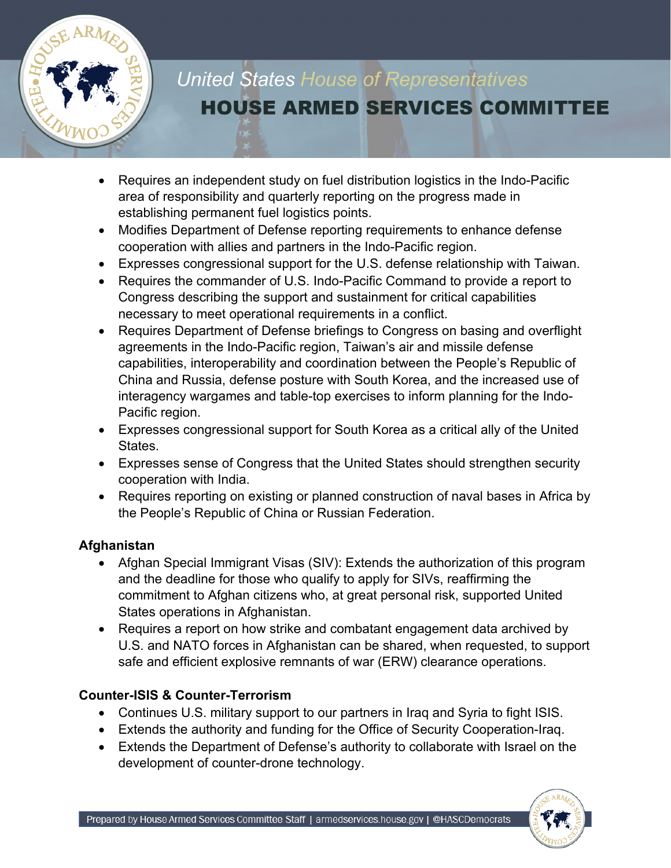

- Requires an independent study on fuel distribution logistics in the Indo-Pacific area of responsibility and quarterly reporting on the progress made in establishing permanent fuel logistics points.
- Modifies Department of Defense reporting requirements to enhance defense cooperation with allies and partners in the Indo-Pacific region.
- Expresses congressional support for the U.S. defense relationship with Taiwan.
- Requires the commander of U.S. Indo-Pacific Command to provide a report to Congress describing the support and sustainment for critical capabilities necessary to meet operational requirements in a conflict.
- Requires Department of Defense briefings to Congress on basing and overflight agreements in the Indo-Pacific region, Taiwan's air and missile defense capabilities, interoperability and coordination between the People's Republic of China and Russia, defense posture with South Korea, and the increased use of interagency wargames and table-top exercises to inform planning for the Indo-Pacific region.
- Expresses congressional support for South Korea as a critical ally of the United States.
- Expresses sense of Congress that the United States should strengthen security cooperation with India.
- Requires reporting on existing or planned construction of naval bases in Africa by the People's Republic of China or Russian Federation.

## **Afghanistan**

- Afghan Special Immigrant Visas (SIV): Extends the authorization of this program and the deadline for those who qualify to apply for SIVs, reaffirming the commitment to Afghan citizens who, at great personal risk, supported United States operations in Afghanistan.
- Requires a report on how strike and combatant engagement data archived by U.S. and NATO forces in Afghanistan can be shared, when requested, to support safe and efficient explosive remnants of war (ERW) clearance operations.

## **Counter-ISIS & Counter-Terrorism**

- Continues U.S. military support to our partners in Iraq and Syria to fight ISIS.
- Extends the authority and funding for the Office of Security Cooperation-Iraq.
- Extends the Department of Defense's authority to collaborate with Israel on the development of counter-drone technology.

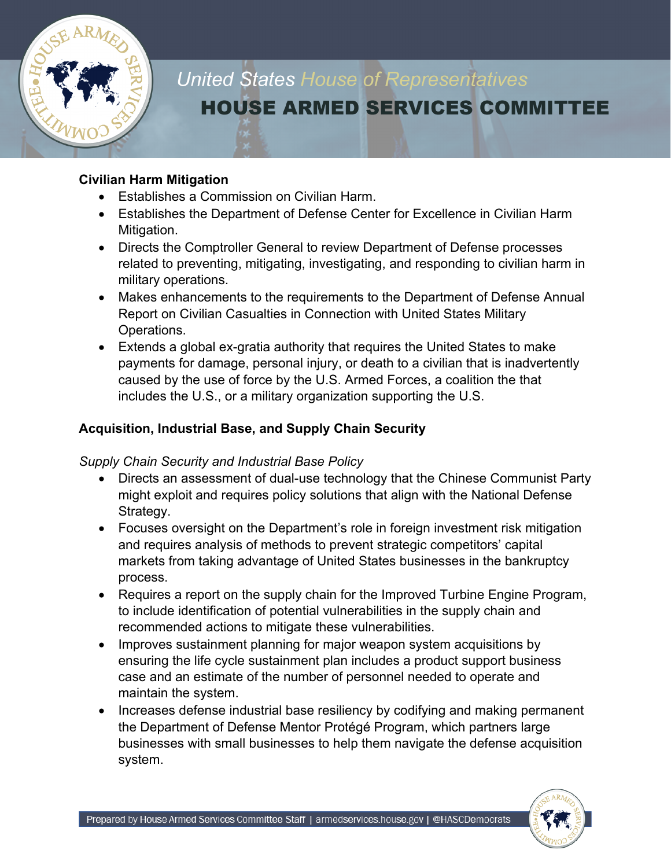

#### **Civilian Harm Mitigation**

- Establishes a Commission on Civilian Harm.
- Establishes the Department of Defense Center for Excellence in Civilian Harm Mitigation.
- Directs the Comptroller General to review Department of Defense processes related to preventing, mitigating, investigating, and responding to civilian harm in military operations.
- Makes enhancements to the requirements to the Department of Defense Annual Report on Civilian Casualties in Connection with United States Military Operations.
- Extends a global ex-gratia authority that requires the United States to make payments for damage, personal injury, or death to a civilian that is inadvertently caused by the use of force by the U.S. Armed Forces, a coalition the that includes the U.S., or a military organization supporting the U.S.

## **Acquisition, Industrial Base, and Supply Chain Security**

#### *Supply Chain Security and Industrial Base Policy*

- Directs an assessment of dual-use technology that the Chinese Communist Party might exploit and requires policy solutions that align with the National Defense Strategy.
- Focuses oversight on the Department's role in foreign investment risk mitigation and requires analysis of methods to prevent strategic competitors' capital markets from taking advantage of United States businesses in the bankruptcy process.
- Requires a report on the supply chain for the Improved Turbine Engine Program, to include identification of potential vulnerabilities in the supply chain and recommended actions to mitigate these vulnerabilities.
- Improves sustainment planning for major weapon system acquisitions by ensuring the life cycle sustainment plan includes a product support business case and an estimate of the number of personnel needed to operate and maintain the system.
- Increases defense industrial base resiliency by codifying and making permanent the Department of Defense Mentor Protégé Program, which partners large businesses with small businesses to help them navigate the defense acquisition system.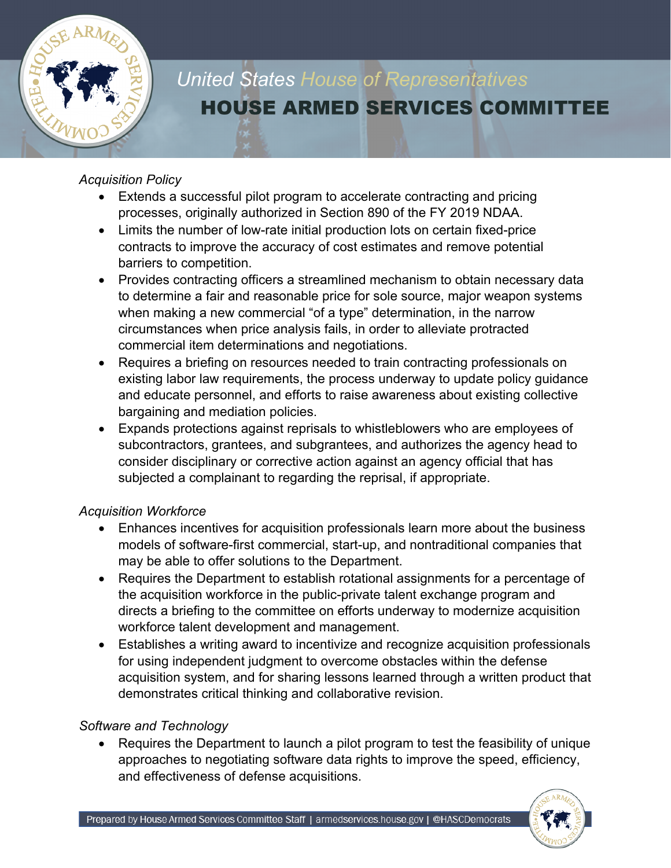

#### *Acquisition Policy*

- Extends a successful pilot program to accelerate contracting and pricing processes, originally authorized in Section 890 of the FY 2019 NDAA.
- Limits the number of low-rate initial production lots on certain fixed-price contracts to improve the accuracy of cost estimates and remove potential barriers to competition.
- Provides contracting officers a streamlined mechanism to obtain necessary data to determine a fair and reasonable price for sole source, major weapon systems when making a new commercial "of a type" determination, in the narrow circumstances when price analysis fails, in order to alleviate protracted commercial item determinations and negotiations.
- Requires a briefing on resources needed to train contracting professionals on existing labor law requirements, the process underway to update policy guidance and educate personnel, and efforts to raise awareness about existing collective bargaining and mediation policies.
- Expands protections against reprisals to whistleblowers who are employees of subcontractors, grantees, and subgrantees, and authorizes the agency head to consider disciplinary or corrective action against an agency official that has subjected a complainant to regarding the reprisal, if appropriate.

## *Acquisition Workforce*

- Enhances incentives for acquisition professionals learn more about the business models of software-first commercial, start-up, and nontraditional companies that may be able to offer solutions to the Department.
- Requires the Department to establish rotational assignments for a percentage of the acquisition workforce in the public-private talent exchange program and directs a briefing to the committee on efforts underway to modernize acquisition workforce talent development and management.
- Establishes a writing award to incentivize and recognize acquisition professionals for using independent judgment to overcome obstacles within the defense acquisition system, and for sharing lessons learned through a written product that demonstrates critical thinking and collaborative revision.

## *Software and Technology*

• Requires the Department to launch a pilot program to test the feasibility of unique approaches to negotiating software data rights to improve the speed, efficiency, and effectiveness of defense acquisitions.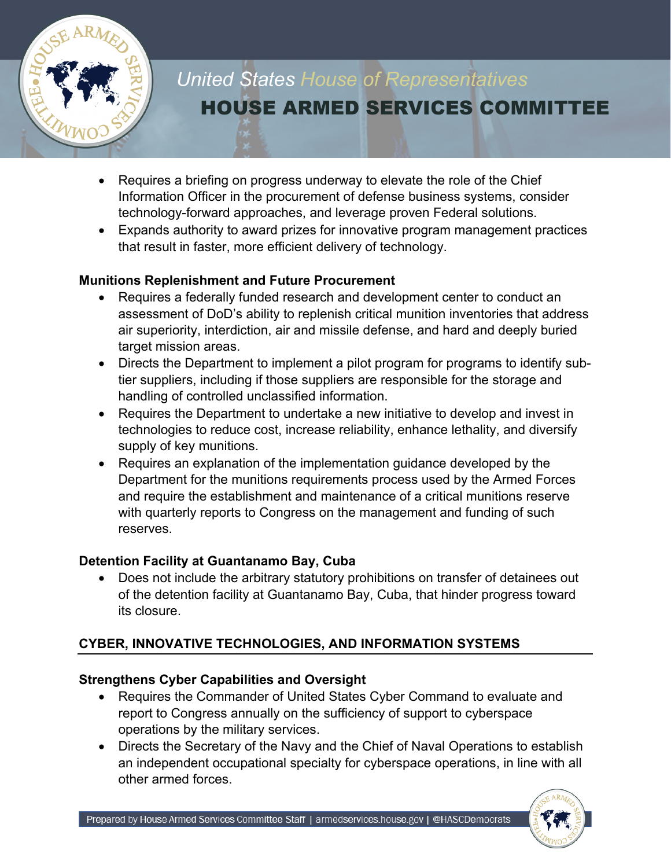

- Requires a briefing on progress underway to elevate the role of the Chief Information Officer in the procurement of defense business systems, consider technology-forward approaches, and leverage proven Federal solutions.
- Expands authority to award prizes for innovative program management practices that result in faster, more efficient delivery of technology.

#### **Munitions Replenishment and Future Procurement**

- Requires a federally funded research and development center to conduct an assessment of DoD's ability to replenish critical munition inventories that address air superiority, interdiction, air and missile defense, and hard and deeply buried target mission areas.
- Directs the Department to implement a pilot program for programs to identify subtier suppliers, including if those suppliers are responsible for the storage and handling of controlled unclassified information.
- Requires the Department to undertake a new initiative to develop and invest in technologies to reduce cost, increase reliability, enhance lethality, and diversify supply of key munitions.
- Requires an explanation of the implementation guidance developed by the Department for the munitions requirements process used by the Armed Forces and require the establishment and maintenance of a critical munitions reserve with quarterly reports to Congress on the management and funding of such reserves.

#### **Detention Facility at Guantanamo Bay, Cuba**

• Does not include the arbitrary statutory prohibitions on transfer of detainees out of the detention facility at Guantanamo Bay, Cuba, that hinder progress toward its closure.

## **CYBER, INNOVATIVE TECHNOLOGIES, AND INFORMATION SYSTEMS**

#### **Strengthens Cyber Capabilities and Oversight**

- Requires the Commander of United States Cyber Command to evaluate and report to Congress annually on the sufficiency of support to cyberspace operations by the military services.
- Directs the Secretary of the Navy and the Chief of Naval Operations to establish an independent occupational specialty for cyberspace operations, in line with all other armed forces.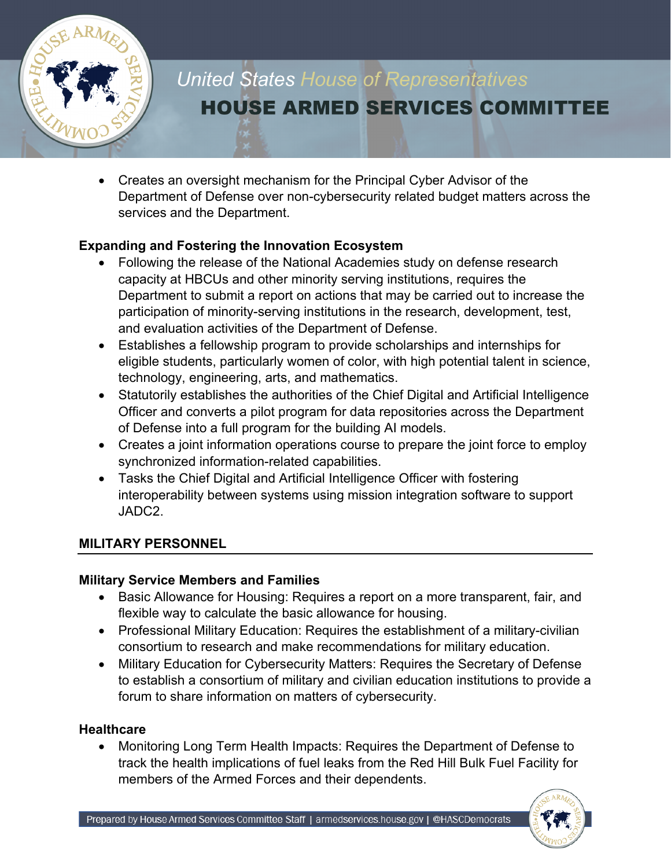

• Creates an oversight mechanism for the Principal Cyber Advisor of the Department of Defense over non-cybersecurity related budget matters across the services and the Department.

#### **Expanding and Fostering the Innovation Ecosystem**

- Following the release of the National Academies study on defense research capacity at HBCUs and other minority serving institutions, requires the Department to submit a report on actions that may be carried out to increase the participation of minority-serving institutions in the research, development, test, and evaluation activities of the Department of Defense.
- Establishes a fellowship program to provide scholarships and internships for eligible students, particularly women of color, with high potential talent in science, technology, engineering, arts, and mathematics.
- Statutorily establishes the authorities of the Chief Digital and Artificial Intelligence Officer and converts a pilot program for data repositories across the Department of Defense into a full program for the building AI models.
- Creates a joint information operations course to prepare the joint force to employ synchronized information-related capabilities.
- Tasks the Chief Digital and Artificial Intelligence Officer with fostering interoperability between systems using mission integration software to support JADC2.

#### **MILITARY PERSONNEL**

#### **Military Service Members and Families**

- Basic Allowance for Housing: Requires a report on a more transparent, fair, and flexible way to calculate the basic allowance for housing.
- Professional Military Education: Requires the establishment of a military-civilian consortium to research and make recommendations for military education.
- Military Education for Cybersecurity Matters: Requires the Secretary of Defense to establish a consortium of military and civilian education institutions to provide a forum to share information on matters of cybersecurity.

#### **Healthcare**

• Monitoring Long Term Health Impacts: Requires the Department of Defense to track the health implications of fuel leaks from the Red Hill Bulk Fuel Facility for members of the Armed Forces and their dependents.

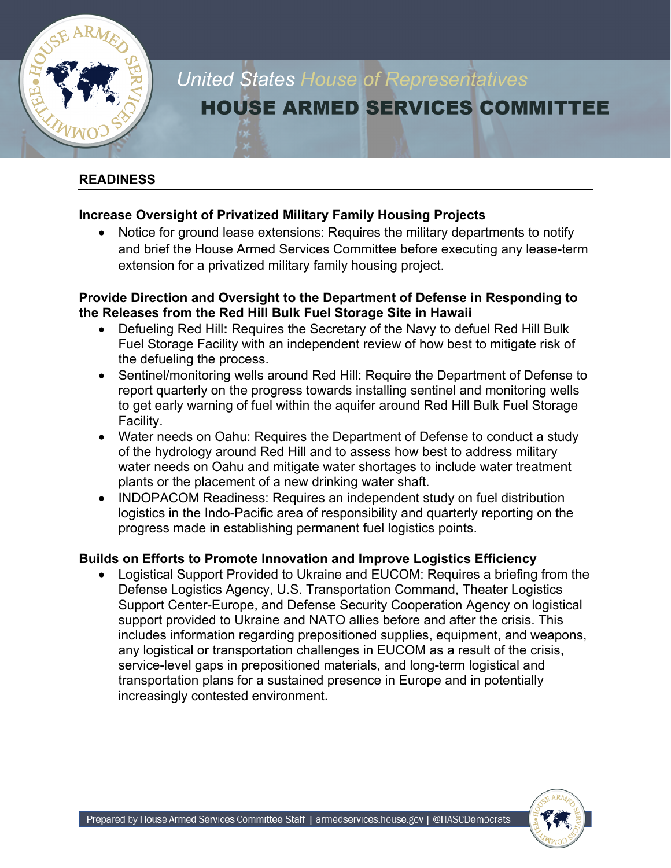

### **READINESS**

#### **Increase Oversight of Privatized Military Family Housing Projects**

• Notice for ground lease extensions: Requires the military departments to notify and brief the House Armed Services Committee before executing any lease-term extension for a privatized military family housing project.

#### **Provide Direction and Oversight to the Department of Defense in Responding to the Releases from the Red Hill Bulk Fuel Storage Site in Hawaii**

- Defueling Red Hill**:** Requires the Secretary of the Navy to defuel Red Hill Bulk Fuel Storage Facility with an independent review of how best to mitigate risk of the defueling the process.
- Sentinel/monitoring wells around Red Hill: Require the Department of Defense to report quarterly on the progress towards installing sentinel and monitoring wells to get early warning of fuel within the aquifer around Red Hill Bulk Fuel Storage Facility.
- Water needs on Oahu: Requires the Department of Defense to conduct a study of the hydrology around Red Hill and to assess how best to address military water needs on Oahu and mitigate water shortages to include water treatment plants or the placement of a new drinking water shaft.
- INDOPACOM Readiness: Requires an independent study on fuel distribution logistics in the Indo-Pacific area of responsibility and quarterly reporting on the progress made in establishing permanent fuel logistics points.

#### **Builds on Efforts to Promote Innovation and Improve Logistics Efficiency**

• Logistical Support Provided to Ukraine and EUCOM: Requires a briefing from the Defense Logistics Agency, U.S. Transportation Command, Theater Logistics Support Center-Europe, and Defense Security Cooperation Agency on logistical support provided to Ukraine and NATO allies before and after the crisis. This includes information regarding prepositioned supplies, equipment, and weapons, any logistical or transportation challenges in EUCOM as a result of the crisis, service-level gaps in prepositioned materials, and long-term logistical and transportation plans for a sustained presence in Europe and in potentially increasingly contested environment.

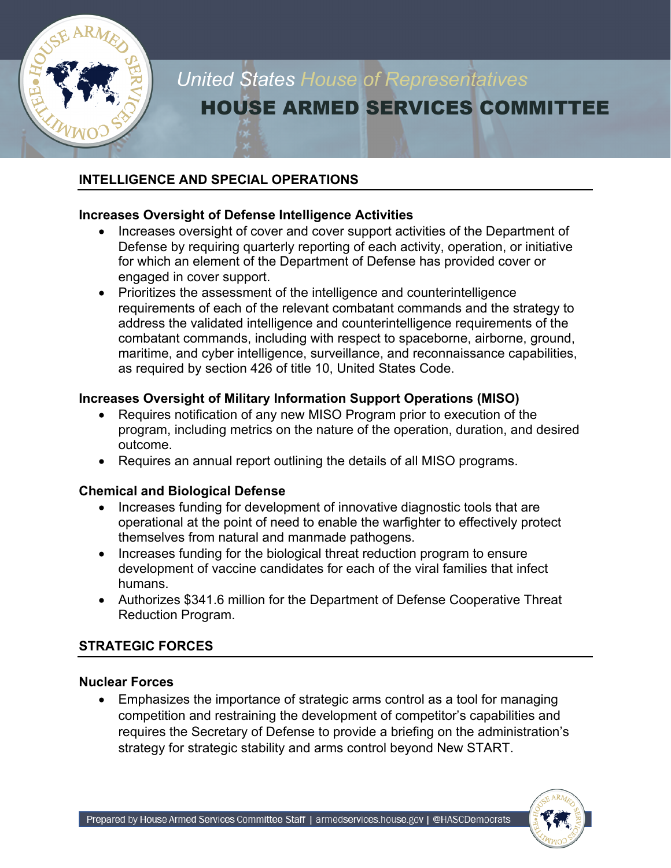

#### **INTELLIGENCE AND SPECIAL OPERATIONS**

#### **Increases Oversight of Defense Intelligence Activities**

- Increases oversight of cover and cover support activities of the Department of Defense by requiring quarterly reporting of each activity, operation, or initiative for which an element of the Department of Defense has provided cover or engaged in cover support.
- Prioritizes the assessment of the intelligence and counterintelligence requirements of each of the relevant combatant commands and the strategy to address the validated intelligence and counterintelligence requirements of the combatant commands, including with respect to spaceborne, airborne, ground, maritime, and cyber intelligence, surveillance, and reconnaissance capabilities, as required by section 426 of title 10, United States Code.

#### **Increases Oversight of Military Information Support Operations (MISO)**

- Requires notification of any new MISO Program prior to execution of the program, including metrics on the nature of the operation, duration, and desired outcome.
- Requires an annual report outlining the details of all MISO programs.

#### **Chemical and Biological Defense**

- Increases funding for development of innovative diagnostic tools that are operational at the point of need to enable the warfighter to effectively protect themselves from natural and manmade pathogens.
- Increases funding for the biological threat reduction program to ensure development of vaccine candidates for each of the viral families that infect humans.
- Authorizes \$341.6 million for the Department of Defense Cooperative Threat Reduction Program.

#### **STRATEGIC FORCES**

#### **Nuclear Forces**

• Emphasizes the importance of strategic arms control as a tool for managing competition and restraining the development of competitor's capabilities and requires the Secretary of Defense to provide a briefing on the administration's strategy for strategic stability and arms control beyond New START.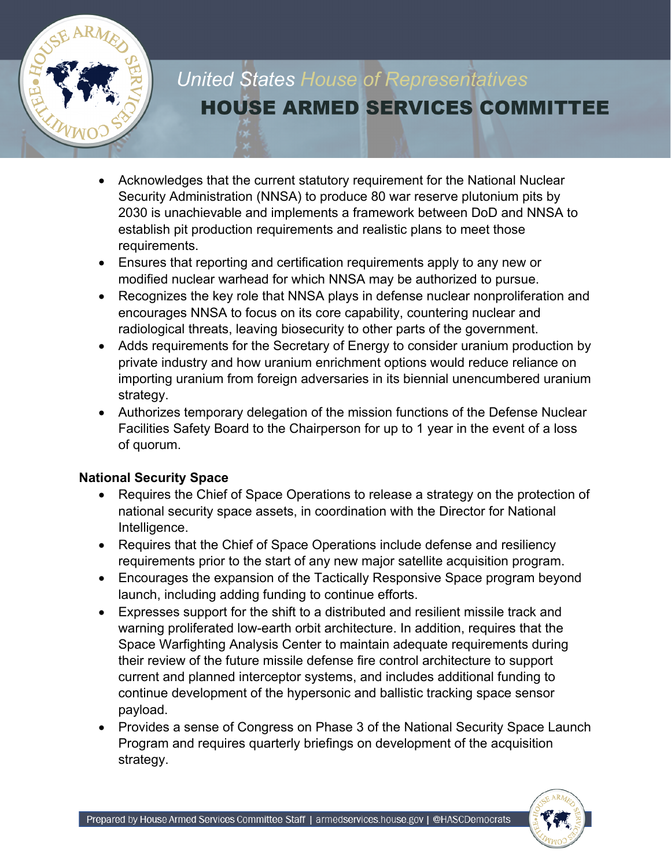

- Acknowledges that the current statutory requirement for the National Nuclear Security Administration (NNSA) to produce 80 war reserve plutonium pits by 2030 is unachievable and implements a framework between DoD and NNSA to establish pit production requirements and realistic plans to meet those requirements.
- Ensures that reporting and certification requirements apply to any new or modified nuclear warhead for which NNSA may be authorized to pursue.
- Recognizes the key role that NNSA plays in defense nuclear nonproliferation and encourages NNSA to focus on its core capability, countering nuclear and radiological threats, leaving biosecurity to other parts of the government.
- Adds requirements for the Secretary of Energy to consider uranium production by private industry and how uranium enrichment options would reduce reliance on importing uranium from foreign adversaries in its biennial unencumbered uranium strategy.
- Authorizes temporary delegation of the mission functions of the Defense Nuclear Facilities Safety Board to the Chairperson for up to 1 year in the event of a loss of quorum.

## **National Security Space**

- Requires the Chief of Space Operations to release a strategy on the protection of national security space assets, in coordination with the Director for National Intelligence.
- Requires that the Chief of Space Operations include defense and resiliency requirements prior to the start of any new major satellite acquisition program.
- Encourages the expansion of the Tactically Responsive Space program beyond launch, including adding funding to continue efforts.
- Expresses support for the shift to a distributed and resilient missile track and warning proliferated low-earth orbit architecture. In addition, requires that the Space Warfighting Analysis Center to maintain adequate requirements during their review of the future missile defense fire control architecture to support current and planned interceptor systems, and includes additional funding to continue development of the hypersonic and ballistic tracking space sensor payload.
- Provides a sense of Congress on Phase 3 of the National Security Space Launch Program and requires quarterly briefings on development of the acquisition strategy.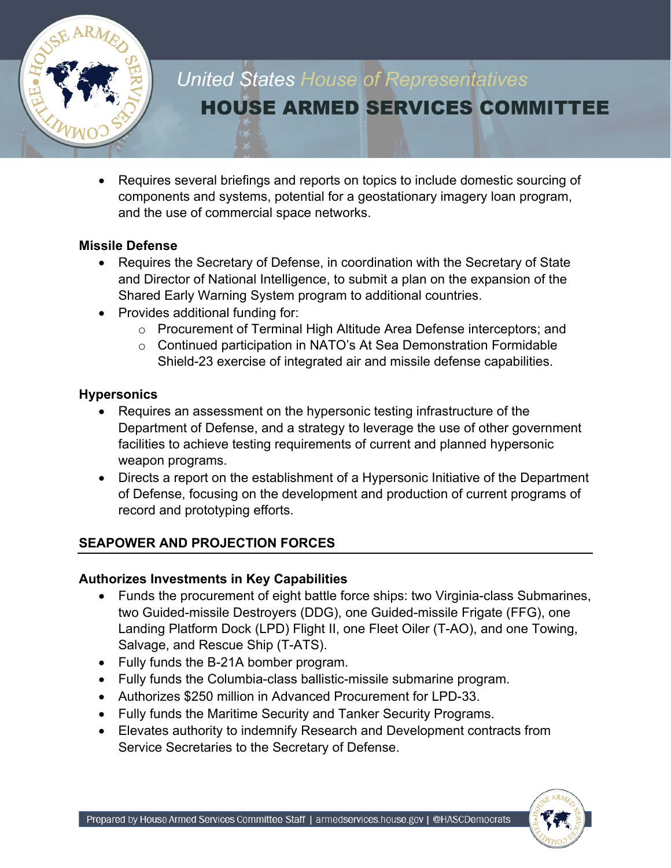

• Requires several briefings and reports on topics to include domestic sourcing of components and systems, potential for a geostationary imagery loan program, and the use of commercial space networks.

#### **Missile Defense**

- Requires the Secretary of Defense, in coordination with the Secretary of State and Director of National Intelligence, to submit a plan on the expansion of the Shared Early Warning System program to additional countries.
- Provides additional funding for:
	- o Procurement of Terminal High Altitude Area Defense interceptors; and
	- o Continued participation in NATO's At Sea Demonstration Formidable Shield-23 exercise of integrated air and missile defense capabilities.

#### **Hypersonics**

- Requires an assessment on the hypersonic testing infrastructure of the Department of Defense, and a strategy to leverage the use of other government facilities to achieve testing requirements of current and planned hypersonic weapon programs.
- Directs a report on the establishment of a Hypersonic Initiative of the Department of Defense, focusing on the development and production of current programs of record and prototyping efforts.

#### **SEAPOWER AND PROJECTION FORCES**

#### **Authorizes Investments in Key Capabilities**

- Funds the procurement of eight battle force ships: two Virginia-class Submarines, two Guided-missile Destroyers (DDG), one Guided-missile Frigate (FFG), one Landing Platform Dock (LPD) Flight II, one Fleet Oiler (T-AO), and one Towing, Salvage, and Rescue Ship (T-ATS).
- Fully funds the B-21A bomber program.
- Fully funds the Columbia-class ballistic-missile submarine program.
- Authorizes \$250 million in Advanced Procurement for LPD-33.
- Fully funds the Maritime Security and Tanker Security Programs.
- Elevates authority to indemnify Research and Development contracts from Service Secretaries to the Secretary of Defense.

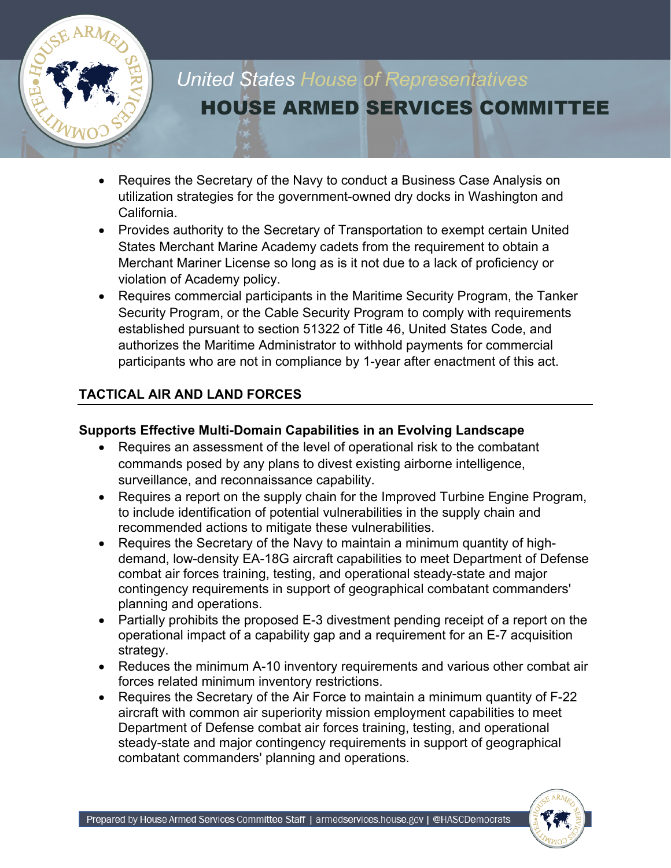

- Requires the Secretary of the Navy to conduct a Business Case Analysis on utilization strategies for the government-owned dry docks in Washington and California.
- Provides authority to the Secretary of Transportation to exempt certain United States Merchant Marine Academy cadets from the requirement to obtain a Merchant Mariner License so long as is it not due to a lack of proficiency or violation of Academy policy.
- Requires commercial participants in the Maritime Security Program, the Tanker Security Program, or the Cable Security Program to comply with requirements established pursuant to section 51322 of Title 46, United States Code, and authorizes the Maritime Administrator to withhold payments for commercial participants who are not in compliance by 1-year after enactment of this act.

## **TACTICAL AIR AND LAND FORCES**

#### **Supports Effective Multi-Domain Capabilities in an Evolving Landscape**

- Requires an assessment of the level of operational risk to the combatant commands posed by any plans to divest existing airborne intelligence, surveillance, and reconnaissance capability.
- Requires a report on the supply chain for the Improved Turbine Engine Program, to include identification of potential vulnerabilities in the supply chain and recommended actions to mitigate these vulnerabilities.
- Requires the Secretary of the Navy to maintain a minimum quantity of highdemand, low-density EA-18G aircraft capabilities to meet Department of Defense combat air forces training, testing, and operational steady-state and major contingency requirements in support of geographical combatant commanders' planning and operations.
- Partially prohibits the proposed E-3 divestment pending receipt of a report on the operational impact of a capability gap and a requirement for an E-7 acquisition strategy.
- Reduces the minimum A-10 inventory requirements and various other combat air forces related minimum inventory restrictions.
- Requires the Secretary of the Air Force to maintain a minimum quantity of F-22 aircraft with common air superiority mission employment capabilities to meet Department of Defense combat air forces training, testing, and operational steady-state and major contingency requirements in support of geographical combatant commanders' planning and operations.

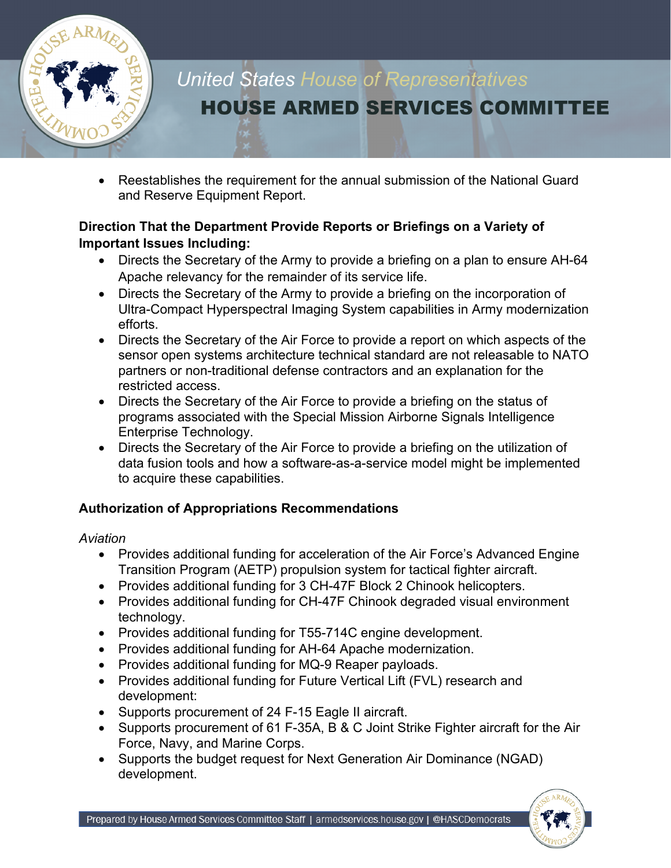

• Reestablishes the requirement for the annual submission of the National Guard and Reserve Equipment Report.

#### **Direction That the Department Provide Reports or Briefings on a Variety of Important Issues Including:**

- Directs the Secretary of the Army to provide a briefing on a plan to ensure AH-64 Apache relevancy for the remainder of its service life.
- Directs the Secretary of the Army to provide a briefing on the incorporation of Ultra-Compact Hyperspectral Imaging System capabilities in Army modernization efforts.
- Directs the Secretary of the Air Force to provide a report on which aspects of the sensor open systems architecture technical standard are not releasable to NATO partners or non-traditional defense contractors and an explanation for the restricted access.
- Directs the Secretary of the Air Force to provide a briefing on the status of programs associated with the Special Mission Airborne Signals Intelligence Enterprise Technology.
- Directs the Secretary of the Air Force to provide a briefing on the utilization of data fusion tools and how a software-as-a-service model might be implemented to acquire these capabilities.

## **Authorization of Appropriations Recommendations**

#### *Aviation*

- Provides additional funding for acceleration of the Air Force's Advanced Engine Transition Program (AETP) propulsion system for tactical fighter aircraft.
- Provides additional funding for 3 CH-47F Block 2 Chinook helicopters.
- Provides additional funding for CH-47F Chinook degraded visual environment technology.
- Provides additional funding for T55-714C engine development.
- Provides additional funding for AH-64 Apache modernization.
- Provides additional funding for MQ-9 Reaper payloads.
- Provides additional funding for Future Vertical Lift (FVL) research and development:
- Supports procurement of 24 F-15 Eagle II aircraft.
- Supports procurement of 61 F-35A, B & C Joint Strike Fighter aircraft for the Air Force, Navy, and Marine Corps.
- Supports the budget request for Next Generation Air Dominance (NGAD) development.

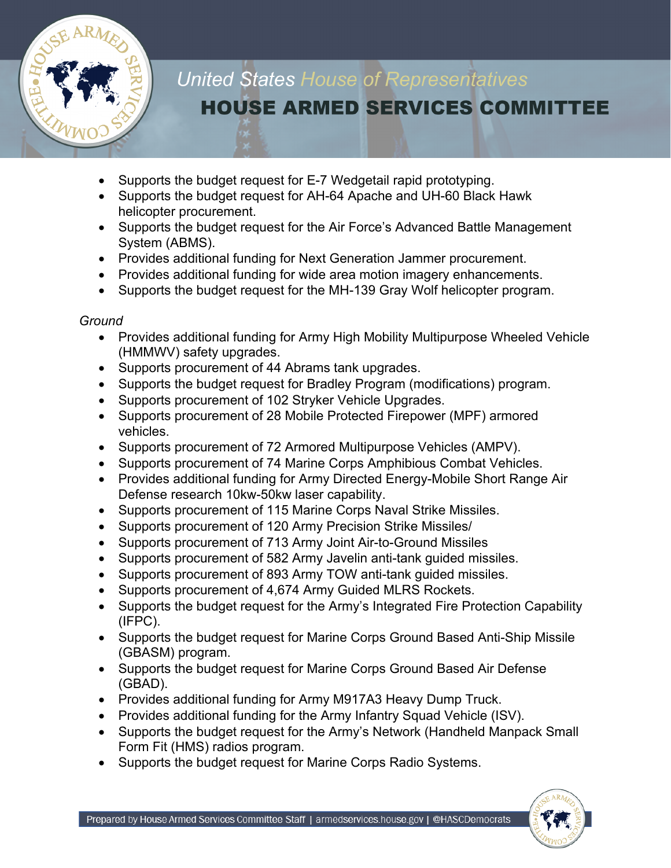

- Supports the budget request for E-7 Wedgetail rapid prototyping.
- Supports the budget request for AH-64 Apache and UH-60 Black Hawk helicopter procurement.
- Supports the budget request for the Air Force's Advanced Battle Management System (ABMS).
- Provides additional funding for Next Generation Jammer procurement.
- Provides additional funding for wide area motion imagery enhancements.
- Supports the budget request for the MH-139 Gray Wolf helicopter program.

#### *Ground*

- Provides additional funding for Army High Mobility Multipurpose Wheeled Vehicle (HMMWV) safety upgrades.
- Supports procurement of 44 Abrams tank upgrades.
- Supports the budget request for Bradley Program (modifications) program.
- Supports procurement of 102 Stryker Vehicle Upgrades.
- Supports procurement of 28 Mobile Protected Firepower (MPF) armored vehicles.
- Supports procurement of 72 Armored Multipurpose Vehicles (AMPV).
- Supports procurement of 74 Marine Corps Amphibious Combat Vehicles.
- Provides additional funding for Army Directed Energy-Mobile Short Range Air Defense research 10kw-50kw laser capability.
- Supports procurement of 115 Marine Corps Naval Strike Missiles.
- Supports procurement of 120 Army Precision Strike Missiles/
- Supports procurement of 713 Army Joint Air-to-Ground Missiles
- Supports procurement of 582 Army Javelin anti-tank guided missiles.
- Supports procurement of 893 Army TOW anti-tank guided missiles.
- Supports procurement of 4,674 Army Guided MLRS Rockets.
- Supports the budget request for the Army's Integrated Fire Protection Capability (IFPC).
- Supports the budget request for Marine Corps Ground Based Anti-Ship Missile (GBASM) program.
- Supports the budget request for Marine Corps Ground Based Air Defense (GBAD).
- Provides additional funding for Army M917A3 Heavy Dump Truck.
- Provides additional funding for the Army Infantry Squad Vehicle (ISV).
- Supports the budget request for the Army's Network (Handheld Manpack Small Form Fit (HMS) radios program.
- Supports the budget request for Marine Corps Radio Systems.